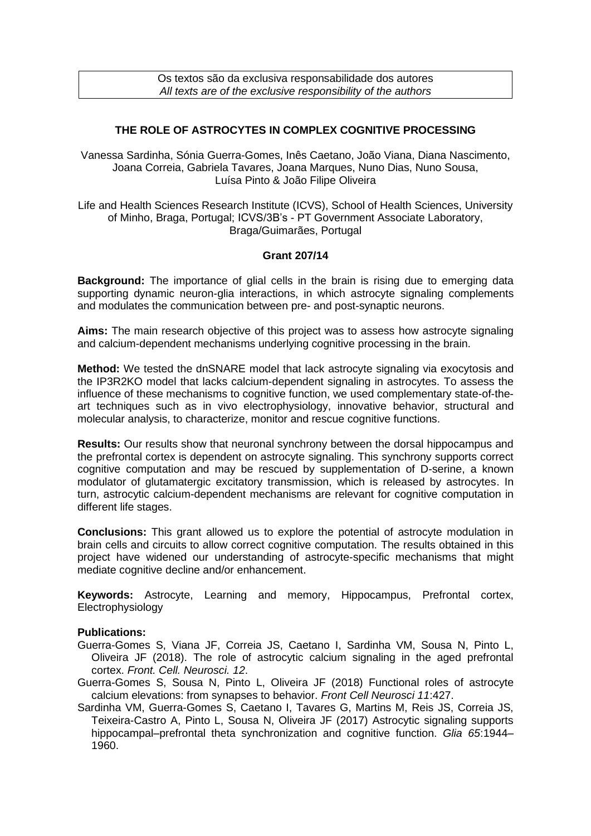Os textos são da exclusiva responsabilidade dos autores *All texts are of the exclusive responsibility of the authors*

## **THE ROLE OF ASTROCYTES IN COMPLEX COGNITIVE PROCESSING**

Vanessa Sardinha, Sónia Guerra-Gomes, Inês Caetano, João Viana, Diana Nascimento, Joana Correia, Gabriela Tavares, Joana Marques, Nuno Dias, Nuno Sousa, Luísa Pinto & João Filipe Oliveira

Life and Health Sciences Research Institute (ICVS), School of Health Sciences, University of Minho, Braga, Portugal; ICVS/3B's - PT Government Associate Laboratory, Braga/Guimarães, Portugal

## **Grant 207/14**

**Background:** The importance of glial cells in the brain is rising due to emerging data supporting dynamic neuron-glia interactions, in which astrocyte signaling complements and modulates the communication between pre- and post-synaptic neurons.

**Aims:** The main research objective of this project was to assess how astrocyte signaling and calcium-dependent mechanisms underlying cognitive processing in the brain.

**Method:** We tested the dnSNARE model that lack astrocyte signaling via exocytosis and the IP3R2KO model that lacks calcium-dependent signaling in astrocytes. To assess the influence of these mechanisms to cognitive function, we used complementary state-of-theart techniques such as in vivo electrophysiology, innovative behavior, structural and molecular analysis, to characterize, monitor and rescue cognitive functions.

**Results:** Our results show that neuronal synchrony between the dorsal hippocampus and the prefrontal cortex is dependent on astrocyte signaling. This synchrony supports correct cognitive computation and may be rescued by supplementation of D-serine, a known modulator of glutamatergic excitatory transmission, which is released by astrocytes. In turn, astrocytic calcium-dependent mechanisms are relevant for cognitive computation in different life stages.

**Conclusions:** This grant allowed us to explore the potential of astrocyte modulation in brain cells and circuits to allow correct cognitive computation. The results obtained in this project have widened our understanding of astrocyte-specific mechanisms that might mediate cognitive decline and/or enhancement.

**Keywords:** Astrocyte, Learning and memory, Hippocampus, Prefrontal cortex, Electrophysiology

## **Publications:**

- Guerra-Gomes S, Viana JF, Correia JS, Caetano I, Sardinha VM, Sousa N, Pinto L, Oliveira JF (2018). The role of astrocytic calcium signaling in the aged prefrontal cortex. *Front. Cell. Neurosci. 12*.
- Guerra-Gomes S, Sousa N, Pinto L, Oliveira JF (2018) Functional roles of astrocyte calcium elevations: from synapses to behavior. *Front Cell Neurosci 11*:427.
- Sardinha VM, Guerra-Gomes S, Caetano I, Tavares G, Martins M, Reis JS, Correia JS, Teixeira-Castro A, Pinto L, Sousa N, Oliveira JF (2017) Astrocytic signaling supports hippocampal–prefrontal theta synchronization and cognitive function. *Glia 65*:1944– 1960.